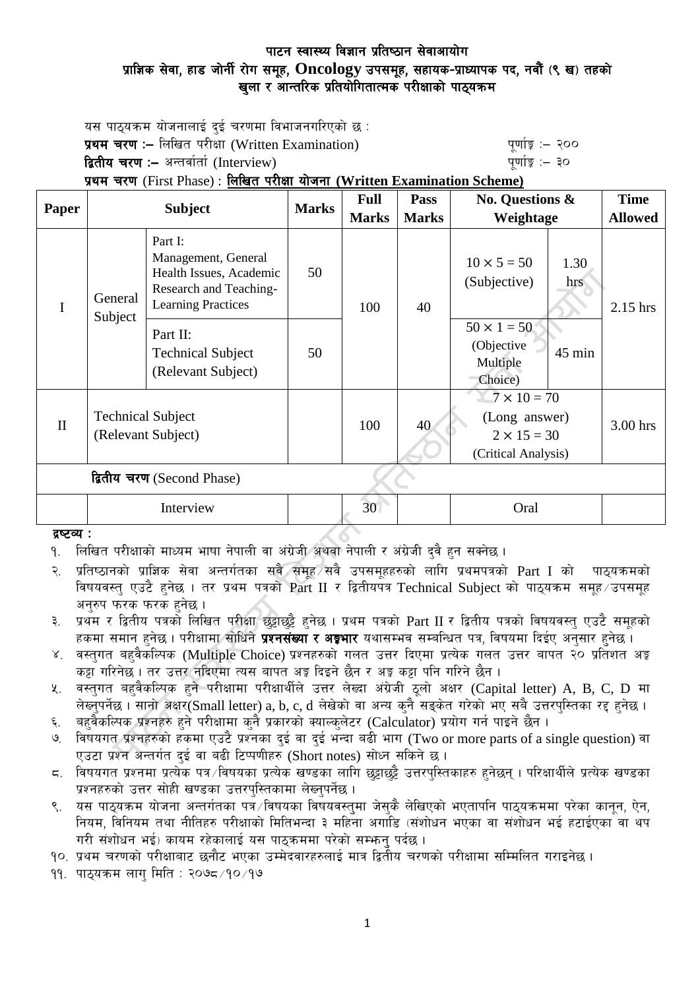यस पाठयक्रम योजनालाई दई चरणमा विभाजनगरिएको छ : प्रथम चरण :– लिखित परीक्षा (Written Examination) kand the server white the server of the server of  $\mathbf{q}$ द्वितीय चरण :– अन्तर्वार्ता (Interview) kan have the set of the set of the set of  $q$ णांङ्क :– ३०

प्रथम चरण (First Phase) : लिखित परीक्षा योजना (Written Examination Scheme)

| Paper                      | <b>Subject</b>                                 |                                                                                                                  | <b>Marks</b> | <b>Full</b>     | <b>Pass</b>  | <b>No. Questions &amp;</b>                                                       |             | <b>Time</b>    |
|----------------------------|------------------------------------------------|------------------------------------------------------------------------------------------------------------------|--------------|-----------------|--------------|----------------------------------------------------------------------------------|-------------|----------------|
|                            |                                                |                                                                                                                  |              | <b>Marks</b>    | <b>Marks</b> | Weightage                                                                        |             | <b>Allowed</b> |
| I                          | General<br>Subject                             | Part I:<br>Management, General<br>Health Issues, Academic<br>Research and Teaching-<br><b>Learning Practices</b> | 50           | 100             | 40           | $10 \times 5 = 50$<br>(Subjective)                                               | 1.30<br>hrs | 2.15 hrs       |
|                            |                                                | Part II:<br><b>Technical Subject</b><br>(Relevant Subject)                                                       | 50           |                 |              | $50 \times 1 = 50$<br>(Objective<br>Multiple<br>Choice)                          | $45$ min    |                |
| $\mathbf{I}$               | <b>Technical Subject</b><br>(Relevant Subject) |                                                                                                                  |              | 100             | 40           | $7 \times 10 = 70$<br>(Long answer)<br>$2 \times 15 = 30$<br>(Critical Analysis) |             | 3.00 hrs       |
| द्वितीय चरण (Second Phase) |                                                |                                                                                                                  |              |                 |              |                                                                                  |             |                |
|                            | Interview                                      |                                                                                                                  |              | 30 <sup>°</sup> |              | Oral                                                                             |             |                |
| द्रष्टव्य :                |                                                |                                                                                                                  |              |                 |              |                                                                                  |             |                |

### द्रष्टव्य :

- <u>9. लिखित परीक्षाको माध्यम भाषा नेपाली वा अंग्रेजी अथवा नेपाली र अंग्रेजी दवै हन सक्नेछ ।</u>
- २. प्रतिष्ठानको प्राज्ञिक सेवा अन्तर्गतका सबै समूह सबै उपसमूहहरुको लागि प्रथमपत्रको Part I को पाठ्यक्रमको विषयवस्त् एउटै हुनेछ । तर प्रथम पत्रको Part II र द्वितीयपत्र Technical Subject को पाठ्यक्रम समूह उपसमूह अनुरुप फरक फरक हुनेछ ।
- ३. प्रथम र द्वितीय पत्रको लिखित परीक्षा छट्टाछट्टै हुनेछ । प्रथम पत्रको Part II र द्वितीय पत्रको विषयवस्तु एउटै समूहको हकमा समान हुनेछ । परीक्षामा सोधिने **प्रश्नसंख्या र अङ्गभार** यथासम्भव सम्बन्धित पत्र, विषयमा दिईए अनुसार हुनेछ ।
- ४. वस्तगत बहवैकस्पिक (Multiple Choice) प्रश्नहरुको गलत उत्तर दिएमा प्रत्येक गलत उत्तर बापत २० प्रतिशत अङ्क कड़ा गरिनेछ । तर उत्तर नदिएमा त्यस बापत अड़ू दिइने छैन र अड़ू कड़ा पनि गरिने छैन ।
- ४. वस्तुगत बहुवैकल्पिक हुने परीक्षामा परीक्षार्थीले उत्तर लेख्दा अंग्रेजी ठुलो अक्षर (Capital letter) A, B, C, D मा लेख्नपर्नेछ । सानो अक्षर(Small letter) a, b, c, d लेखेको वा अन्य कनै सड़केत गरेको भए सबै उत्तरपस्तिका रद्द हनेछ ।
- ६. वहुवैकल्पिक प्रश्नहरु हुने परीक्षामा कुनै प्रकारको क्याल्कुलेटर (Calculator) प्रयोग गर्न पाइने छैन ।
- ७. विषयगत प्रश्नहरुको हकमा एउटै प्रश्नका दई वा दई भन्दा बढी भाग (Two or more parts of a single question) वा एउटा प्रश्न अन्तर्गत दुई वा बढी टिप्पणीहरु (Short notes) सोध्न सकिने छ।
- $\,$  ६. विषयगत प्रश्नमा प्रत्येक पत्र विषयका प्रत्येक खण्डका लागि छुट्टाछुट्टै उत्तरपुस्तिकाहरु हुनेछन् । परिक्षार्थीले प्रत्येक खण्डका प्रश्नहरुको उत्तर सोही खण्डका उत्तरपुस्तिकामा लेख्नुपर्नेछ ।
- ९. यस पाठ्यक्रम योजना अन्तर्गतका पत्रे विषयका विषयवस्तुमा जेसुकै लेखिएको भएतापनि पाठ्यक्रममा परेका कानुन, ऐन, नियम, विनियम तथा नीतिहरु परीक्षाको मितिभन्दा ३ महिना अगाडि (संशोधन भएका वा संशोधन भई हटाईएका वा थप गरी संशोधन भई) कायम रहेकालाई यस पाठुकममा परेको सम्भन् पर्दछ ।

<u>१</u>०. प्रथम चरणको परीक्षाबाट छनौट भएका उम्मेदवारहरुलाई मात्र द्वितीय चरणको परीक्षामा सम्मिलित गराइनेछ ।

११. पाठयक्रम लाग मिति : २०७८ ⁄१० ⁄१७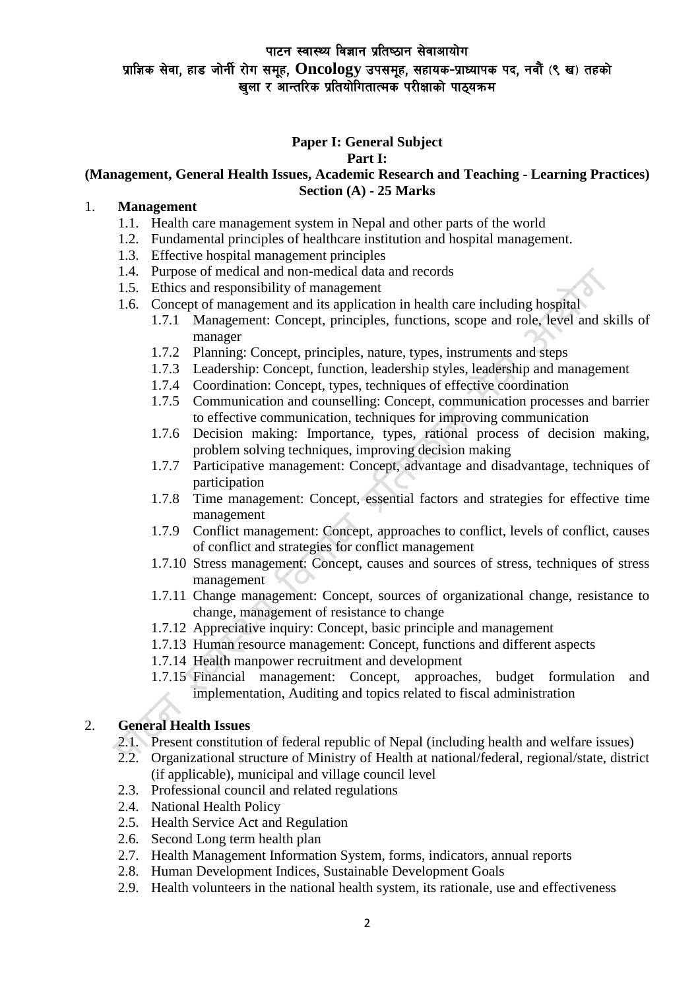# **Paper I: General Subject**

**Part I:** 

## **(Management, General Health Issues, Academic Research and Teaching - Learning Practices) Section (A) - 25 Marks**

### 1. **Management**

- 1.1. Health care management system in Nepal and other parts of the world
- 1.2. Fundamental principles of healthcare institution and hospital management.
- 1.3. Effective hospital management principles
- 1.4. Purpose of medical and non-medical data and records
- 1.5. Ethics and responsibility of management
- 1.6. Concept of management and its application in health care including hospital
	- 1.7.1 Management: Concept, principles, functions, scope and role, level and skills of manager
	- 1.7.2 Planning: Concept, principles, nature, types, instruments and steps
	- 1.7.3 Leadership: Concept, function, leadership styles, leadership and management
	- 1.7.4 Coordination: Concept, types, techniques of effective coordination
	- 1.7.5 Communication and counselling: Concept, communication processes and barrier to effective communication, techniques for improving communication
	- 1.7.6 Decision making: Importance, types, rational process of decision making, problem solving techniques, improving decision making
	- 1.7.7 Participative management: Concept, advantage and disadvantage, techniques of participation
	- 1.7.8 Time management: Concept, essential factors and strategies for effective time management
	- 1.7.9 Conflict management: Concept, approaches to conflict, levels of conflict, causes of conflict and strategies for conflict management
	- 1.7.10 Stress management: Concept, causes and sources of stress, techniques of stress management
	- 1.7.11 Change management: Concept, sources of organizational change, resistance to change, management of resistance to change
	- 1.7.12 Appreciative inquiry: Concept, basic principle and management
	- 1.7.13 Human resource management: Concept, functions and different aspects
	- 1.7.14 Health manpower recruitment and development
	- 1.7.15 Financial management: Concept, approaches, budget formulation and implementation, Auditing and topics related to fiscal administration

# 2. **General Health Issues**

- 2.1. Present constitution of federal republic of Nepal (including health and welfare issues)
- 2.2. Organizational structure of Ministry of Health at national/federal, regional/state, district (if applicable), municipal and village council level
- 2.3. Professional council and related regulations
- 2.4. National Health Policy
- 2.5. Health Service Act and Regulation
- 2.6. Second Long term health plan
- 2.7. Health Management Information System, forms, indicators, annual reports
- 2.8. Human Development Indices, Sustainable Development Goals
- 2.9. Health volunteers in the national health system, its rationale, use and effectiveness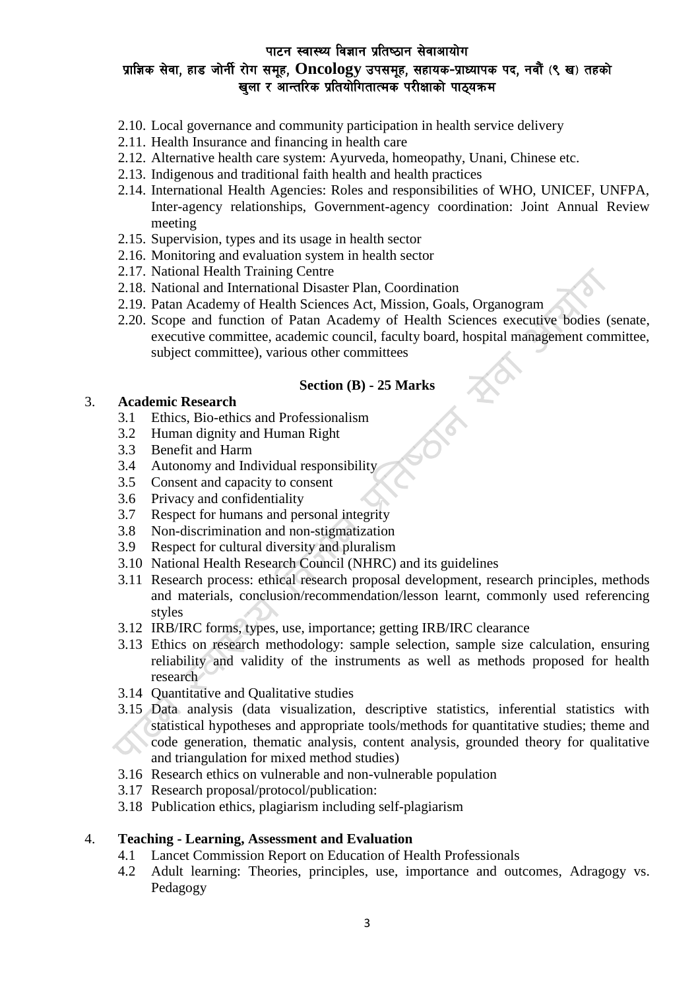- 2.10. Local governance and community participation in health service delivery
- 2.11. Health Insurance and financing in health care
- 2.12. Alternative health care system: Ayurveda, homeopathy, Unani, Chinese etc.
- 2.13. Indigenous and traditional faith health and health practices
- 2.14. International Health Agencies: Roles and responsibilities of WHO, UNICEF, UNFPA, Inter-agency relationships, Government-agency coordination: Joint Annual Review meeting
- 2.15. Supervision, types and its usage in health sector
- 2.16. Monitoring and evaluation system in health sector
- 2.17. National Health Training Centre
- 2.18. National and International Disaster Plan, Coordination
- 2.19. Patan Academy of Health Sciences Act, Mission, Goals, Organogram
- 2.20. Scope and function of Patan Academy of Health Sciences executive bodies (senate, executive committee, academic council, faculty board, hospital management committee, subject committee), various other committees

### **Section (B) - 25 Marks**

#### 3. **Academic Research**

- 3.1 Ethics, Bio-ethics and Professionalism
- 3.2 Human dignity and Human Right
- 3.3 Benefit and Harm
- 3.4 Autonomy and Individual responsibility
- 3.5 Consent and capacity to consent
- 3.6 Privacy and confidentiality
- 3.7 Respect for humans and personal integrity
- 3.8 Non-discrimination and non-stigmatization
- 3.9 Respect for cultural diversity and pluralism
- 3.10 National Health Research Council (NHRC) and its guidelines
- 3.11 Research process: ethical research proposal development, research principles, methods and materials, conclusion/recommendation/lesson learnt, commonly used referencing styles
- 3.12 IRB/IRC forms, types, use, importance; getting IRB/IRC clearance
- 3.13 Ethics on research methodology: sample selection, sample size calculation, ensuring reliability and validity of the instruments as well as methods proposed for health research
- 3.14 Quantitative and Qualitative studies
- 3.15 Data analysis (data visualization, descriptive statistics, inferential statistics with statistical hypotheses and appropriate tools/methods for quantitative studies; theme and code generation, thematic analysis, content analysis, grounded theory for qualitative and triangulation for mixed method studies)
- 3.16 Research ethics on vulnerable and non-vulnerable population
- 3.17 Research proposal/protocol/publication:
- 3.18 Publication ethics, plagiarism including self-plagiarism

#### 4. **Teaching - Learning, Assessment and Evaluation**

- 4.1 Lancet Commission Report on Education of Health Professionals
- 4.2 Adult learning: Theories, principles, use, importance and outcomes, Adragogy vs. Pedagogy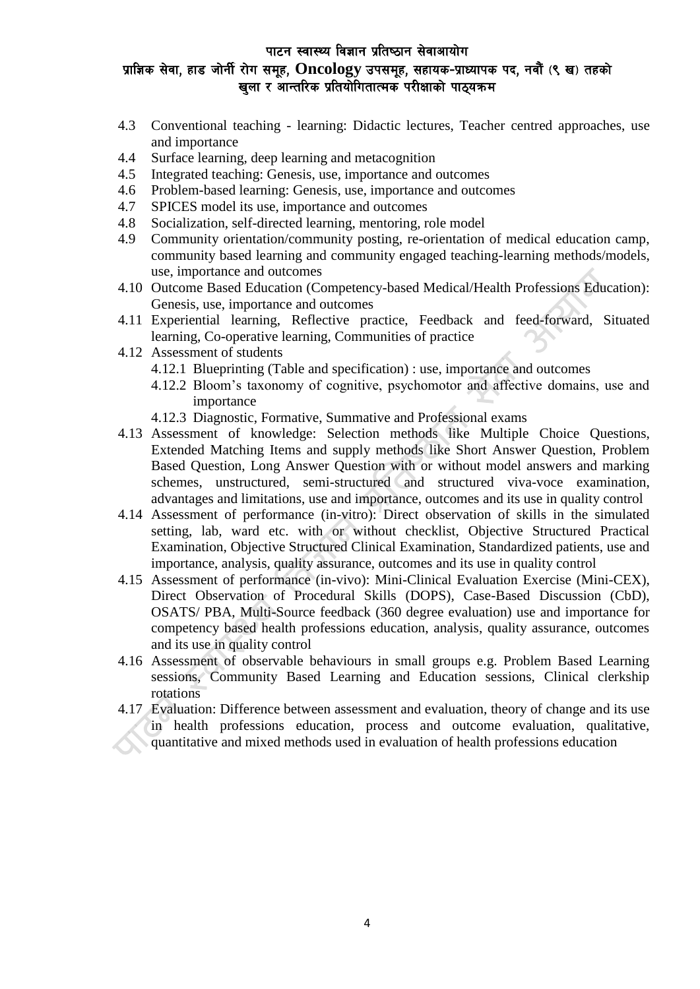- 4.3 Conventional teaching learning: Didactic lectures, Teacher centred approaches, use and importance
- 4.4 Surface learning, deep learning and metacognition
- 4.5 Integrated teaching: Genesis, use, importance and outcomes
- 4.6 Problem-based learning: Genesis, use, importance and outcomes
- 4.7 SPICES model its use, importance and outcomes
- 4.8 Socialization, self-directed learning, mentoring, role model
- 4.9 Community orientation/community posting, re-orientation of medical education camp, community based learning and community engaged teaching-learning methods/models, use, importance and outcomes
- 4.10 Outcome Based Education (Competency-based Medical/Health Professions Education): Genesis, use, importance and outcomes
- 4.11 Experiential learning, Reflective practice, Feedback and feed-forward, Situated learning, Co-operative learning, Communities of practice
- 4.12 Assessment of students
	- 4.12.1 Blueprinting (Table and specification) : use, importance and outcomes
	- 4.12.2 Bloom's taxonomy of cognitive, psychomotor and affective domains, use and importance
	- 4.12.3 Diagnostic, Formative, Summative and Professional exams
- 4.13 Assessment of knowledge: Selection methods like Multiple Choice Questions, Extended Matching Items and supply methods like Short Answer Question, Problem Based Question, Long Answer Question with or without model answers and marking schemes, unstructured, semi-structured and structured viva-voce examination, advantages and limitations, use and importance, outcomes and its use in quality control
- 4.14 Assessment of performance (in-vitro): Direct observation of skills in the simulated setting, lab, ward etc. with or without checklist, Objective Structured Practical Examination, Objective Structured Clinical Examination, Standardized patients, use and importance, analysis, quality assurance, outcomes and its use in quality control
- 4.15 Assessment of performance (in-vivo): Mini-Clinical Evaluation Exercise (Mini-CEX), Direct Observation of Procedural Skills (DOPS), Case-Based Discussion (CbD), OSATS/ PBA, Multi-Source feedback (360 degree evaluation) use and importance for competency based health professions education, analysis, quality assurance, outcomes and its use in quality control
- 4.16 Assessment of observable behaviours in small groups e.g. Problem Based Learning sessions, Community Based Learning and Education sessions, Clinical clerkship rotations
- 4.17 Evaluation: Difference between assessment and evaluation, theory of change and its use in health professions education, process and outcome evaluation, qualitative, quantitative and mixed methods used in evaluation of health professions education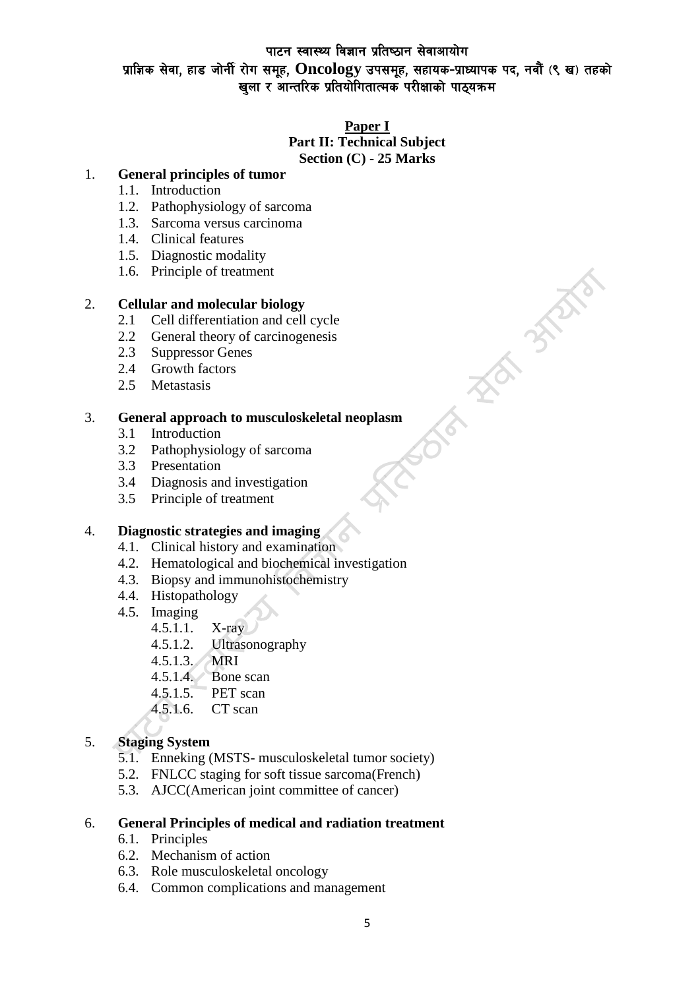### **Paper I**

#### **Part II: Technical Subject Section (C) - 25 Marks**

3-3787

委

## 1. **General principles of tumor**

- 1.1. Introduction
- 1.2. Pathophysiology of sarcoma
- 1.3. Sarcoma versus carcinoma
- 1.4. Clinical features
- 1.5. Diagnostic modality
- 1.6. Principle of treatment

### 2. **Cellular and molecular biology**

- 2.1 Cell differentiation and cell cycle
- 2.2 General theory of carcinogenesis
- 2.3 Suppressor Genes
- 2.4 Growth factors
- 2.5 Metastasis

### 3. **General approach to musculoskeletal neoplasm**

- 3.1 Introduction
- 3.2 Pathophysiology of sarcoma
- 3.3 Presentation
- 3.4 Diagnosis and investigation
- 3.5 Principle of treatment

## 4. **Diagnostic strategies and imaging**

- 4.1. Clinical history and examination
- 4.2. Hematological and biochemical investigation
- 4.3. Biopsy and immunohistochemistry
- 4.4. Histopathology
- 4.5. Imaging
	- 4.5.1.1. X-ray
	- 4.5.1.2. Ultrasonography
	- 4.5.1.3. MRI
	- 4.5.1.4. Bone scan
	- 4.5.1.5. PET scan
	- 4.5.1.6. CT scan

## 5. **Staging System**

- 5.1. Enneking (MSTS- musculoskeletal tumor society)
- 5.2. FNLCC staging for soft tissue sarcoma(French)
- 5.3. AJCC(American joint committee of cancer)

### 6. **General Principles of medical and radiation treatment**

- 6.1. Principles
- 6.2. Mechanism of action
- 6.3. Role musculoskeletal oncology
- 6.4. Common complications and management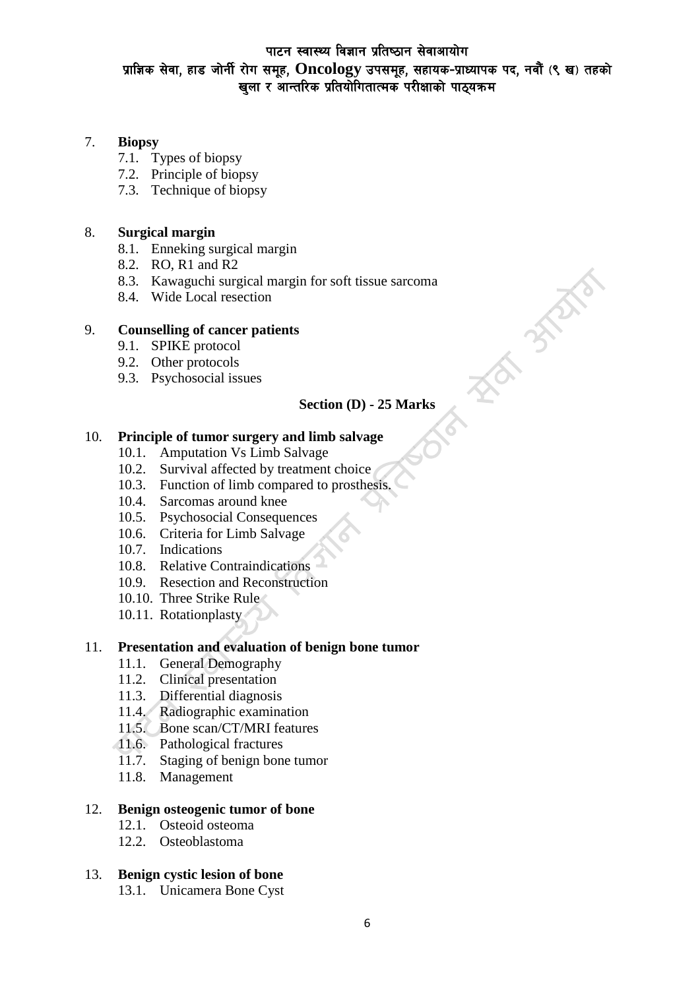# पाटन स्वास्थ्य विज्ञान प्रतिष्ठान सेवाआयोग प्राज्ञिक सेवा, हाड जोर्नी रोग समूह, **Oncology उपसमूह, सहायक-प्राध्यापक पद, नवौं** (९ ख) तहको vin River River Altonian River in River and River and The River and The River and The River and The River and

### 7. **Biopsy**

- 7.1. Types of biopsy
- 7.2. Principle of biopsy
- 7.3. Technique of biopsy

### 8. **Surgical margin**

- 8.1. Enneking surgical margin
- 8.2. RO, R1 and R2
- 8.3. Kawaguchi surgical margin for soft tissue sarcoma
- 8.4. Wide Local resection

### 9. **Counselling of cancer patients**

- 9.1. SPIKE protocol
- 9.2. Other protocols
- 9.3. Psychosocial issues

### **Section (D) - 25 Marks**

**FRO STATE** 

### 10. **Principle of tumor surgery and limb salvage**

- 10.1. Amputation Vs Limb Salvage
- 10.2. Survival affected by treatment choice
- 10.3. Function of limb compared to prosthesis.
- 10.4. Sarcomas around knee
- 10.5. Psychosocial Consequences
- 10.6. Criteria for Limb Salvage
- 10.7. Indications
- 10.8. Relative Contraindications
- 10.9. Resection and Reconstruction
- 10.10. Three Strike Rule
- 10.11. Rotationplasty

### 11. **Presentation and evaluation of benign bone tumor**

- 11.1. General Demography
- 11.2. Clinical presentation
- 11.3. Differential diagnosis
- 11.4. Radiographic examination
- 11.5. Bone scan/CT/MRI features
- 11.6. Pathological fractures
- 11.7. Staging of benign bone tumor
- 11.8. Management

### 12. **Benign osteogenic tumor of bone**

- 12.1. Osteoid osteoma
- 12.2. Osteoblastoma

### 13. **Benign cystic lesion of bone**

13.1. Unicamera Bone Cyst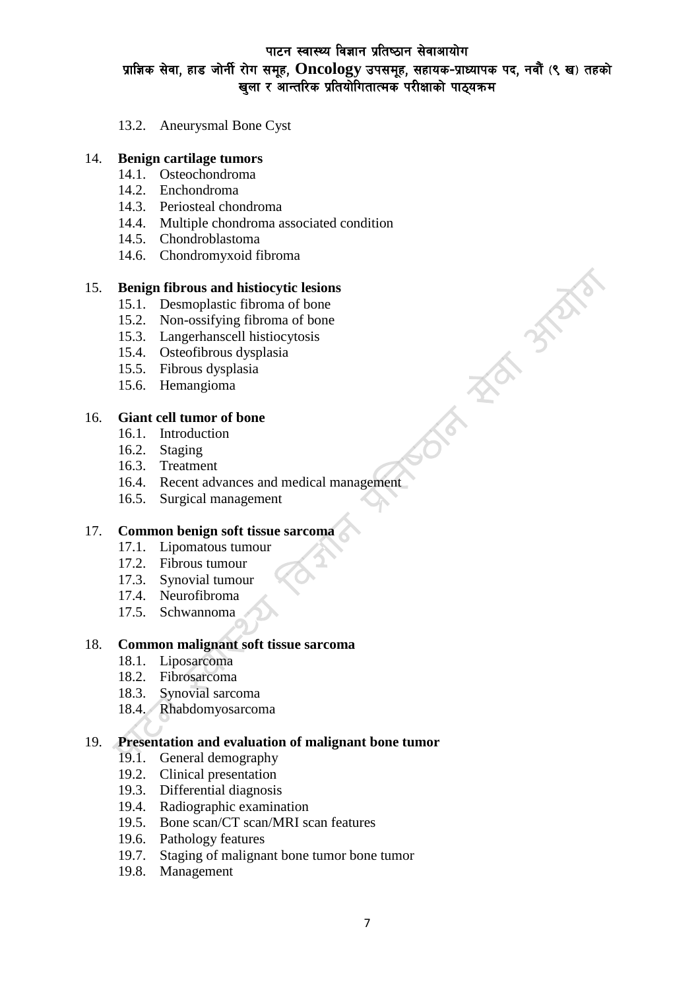**HEATHER** 

13.2. Aneurysmal Bone Cyst

### 14. **Benign cartilage tumors**

- 14.1. Osteochondroma
- 14.2. Enchondroma
- 14.3. Periosteal chondroma
- 14.4. Multiple chondroma associated condition
- 14.5. Chondroblastoma
- 14.6. Chondromyxoid fibroma

### 15. **Benign fibrous and histiocytic lesions**

- 15.1. Desmoplastic fibroma of bone
- 15.2. Non-ossifying fibroma of bone
- 15.3. Langerhanscell histiocytosis
- 15.4. Osteofibrous dysplasia
- 15.5. Fibrous dysplasia
- 15.6. Hemangioma

### 16. **Giant cell tumor of bone**

- 16.1. Introduction
- 16.2. Staging
- 16.3. Treatment
- 16.4. Recent advances and medical management
- 16.5. Surgical management

## 17. **Common benign soft tissue sarcoma**

- 17.1. Lipomatous tumour
- 17.2. Fibrous tumour
- 17.3. Synovial tumour
- 17.4. Neurofibroma
- 17.5. Schwannoma

### 18. **Common malignant soft tissue sarcoma**

- 18.1. Liposarcoma
- 18.2. Fibrosarcoma
- 18.3. Synovial sarcoma
- 18.4. Rhabdomyosarcoma

### 19. **Presentation and evaluation of malignant bone tumor**

- 19.1. General demography
- 19.2. Clinical presentation
- 19.3. Differential diagnosis
- 19.4. Radiographic examination
- 19.5. Bone scan/CT scan/MRI scan features
- 19.6. Pathology features
- 19.7. Staging of malignant bone tumor bone tumor
- 19.8. Management